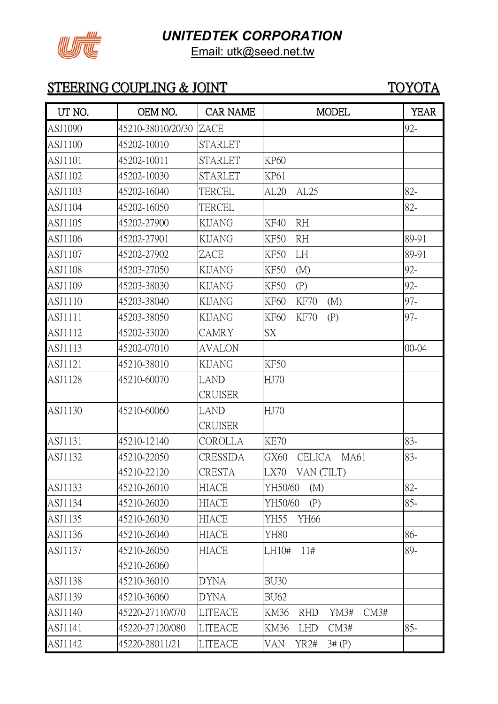

Email: utk@seed.net.tw

| UT NO.         | OEM NO.           | <b>CAR NAME</b> | <b>MODEL</b>                       | <b>YEAR</b> |
|----------------|-------------------|-----------------|------------------------------------|-------------|
| ASJ1090        | 45210-38010/20/30 | ZACE            |                                    | 92-         |
| ASJ1100        | 45202-10010       | STARLET         |                                    |             |
| ASJ1101        | 45202-10011       | <b>STARLET</b>  | <b>KP60</b>                        |             |
| ASJ1102        | 45202-10030       | <b>STARLET</b>  | KP61                               |             |
| ASJ1103        | 45202-16040       | TERCEL          | AL20<br>AL25                       | 82-         |
| ASJ1104        | 45202-16050       | TERCEL          |                                    | 82-         |
| ASJ1105        | 45202-27900       | <b>KIJANG</b>   | <b>RH</b><br><b>KF40</b>           |             |
| ASJ1106        | 45202-27901       | KIJANG          | <b>RH</b><br>KF50                  | 89-91       |
| ASJ1107        | 45202-27902       | ZACE            | KF50<br>LH                         | 89-91       |
| <b>ASJ1108</b> | 45203-27050       | <b>KIJANG</b>   | KF50<br>(M)                        | 92-         |
| ASJ1109        | 45203-38030       | KIJANG          | KF50<br>(P)                        | 92-         |
| ASJ1110        | 45203-38040       | <b>KIJANG</b>   | <b>KF60</b><br>KF70<br>(M)         | 97-         |
| ASJ1111        | 45203-38050       | KIJANG          | KF60<br>KF70<br>(P)                | 97-         |
| ASJ1112        | 45202-33020       | <b>CAMRY</b>    | SX                                 |             |
| ASJ1113        | 45202-07010       | <b>AVALON</b>   |                                    | $00 - 04$   |
| ASJ1121        | 45210-38010       | <b>KIJANG</b>   | <b>KF50</b>                        |             |
| ASJ1128        | 45210-60070       | LAND            | HJ70                               |             |
|                |                   | <b>CRUISER</b>  |                                    |             |
| ASJ1130        | 45210-60060       | LAND            | HJ70                               |             |
|                |                   | <b>CRUISER</b>  |                                    |             |
| ASJ1131        | 45210-12140       | COROLLA         | <b>KE70</b>                        | 83-         |
| ASJ1132        | 45210-22050       | CRESSIDA        | GX60<br><b>CELICA</b><br>MA61      | 83-         |
|                | 45210-22120       | CRESTA          | LX70<br>VAN (TILT)                 |             |
| ASJ1133        | 45210-26010       | <b>HIACE</b>    | YH50/60<br>(M)                     | 82-         |
| ASJ1134        | 45210-26020       | HIACE           | YH50/60<br>(P)                     | $85 -$      |
| ASJ1135        | 45210-26030       | <b>HIACE</b>    | YH55<br>YH66                       |             |
| ASJ1136        | 45210-26040       | HIACE           | YH80                               | 86-         |
| ASJ1137        | 45210-26050       | HIACE           | 11#<br>LH10#                       | 89-         |
|                | 45210-26060       |                 |                                    |             |
| ASJ1138        | 45210-36010       | <b>DYNA</b>     | <b>BU30</b>                        |             |
| ASJ1139        | 45210-36060       | <b>DYNA</b>     | <b>BU62</b>                        |             |
| ASJ1140        | 45220-27110/070   | LITEACE         | CM3#<br>KM36<br>YM3#<br><b>RHD</b> |             |
| ASJ1141        | 45220-27120/080   | <b>LITEACE</b>  | KM36<br><b>LHD</b><br>CM3#         | $85 -$      |
| ASJ1142        | 45220-28011/21    | LITEACE         | VAN<br>YR2#<br>3# (P)              |             |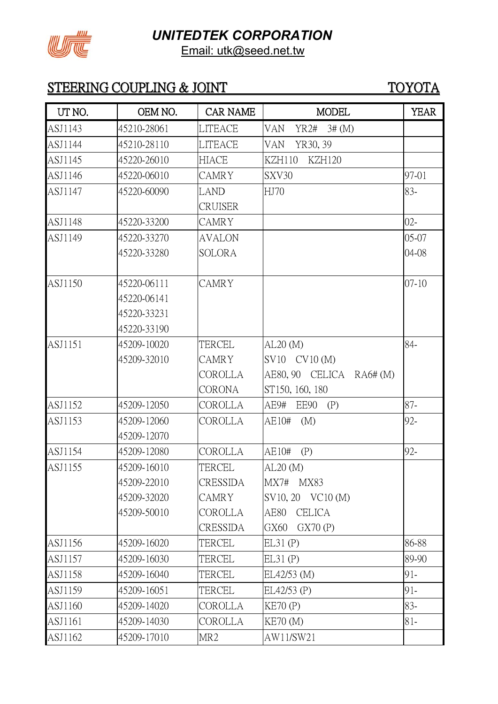



Email: utk@seed.net.tw

| UT NO.  | OEM NO.     | <b>CAR NAME</b> | <b>MODEL</b>                   | <b>YEAR</b> |
|---------|-------------|-----------------|--------------------------------|-------------|
| ASJ1143 | 45210-28061 | <b>LITEACE</b>  | <b>VAN</b><br>3# (M)<br>YR2#   |             |
| ASJ1144 | 45210-28110 | <b>LITEACE</b>  | YR30, 39<br><b>VAN</b>         |             |
| ASJ1145 | 45220-26010 | <b>HIACE</b>    | <b>KZH110</b><br><b>KZH120</b> |             |
| ASJ1146 | 45220-06010 | <b>CAMRY</b>    | SXV30                          | 97-01       |
| ASJ1147 | 45220-60090 | LAND            | HJ70                           | 83-         |
|         |             | <b>CRUISER</b>  |                                |             |
| ASJ1148 | 45220-33200 | <b>CAMRY</b>    |                                | $02 -$      |
| ASJ1149 | 45220-33270 | <b>AVALON</b>   |                                | 05-07       |
|         | 45220-33280 | <b>SOLORA</b>   |                                | 04-08       |
| ASJ1150 | 45220-06111 | <b>CAMRY</b>    |                                | $07 - 10$   |
|         | 45220-06141 |                 |                                |             |
|         | 45220-33231 |                 |                                |             |
|         | 45220-33190 |                 |                                |             |
| ASJ1151 | 45209-10020 | TERCEL          | AL20(M)                        | 84-         |
|         | 45209-32010 | <b>CAMRY</b>    | SV10 CV10 (M)                  |             |
|         |             | COROLLA         | AE80, 90 CELICA RA6# (M)       |             |
|         |             | <b>CORONA</b>   | ST150, 160, 180                |             |
| ASJ1152 | 45209-12050 | COROLLA         | AE9#<br>EE90<br>(P)            | $87 -$      |
| ASJ1153 | 45209-12060 | COROLLA         | AE10#<br>(M)                   | 92-         |
|         | 45209-12070 |                 |                                |             |
| ASJ1154 | 45209-12080 | COROLLA         | AE10#<br>(P)                   | 92-         |
| ASJ1155 | 45209-16010 | TERCEL          | $AL20$ (M)                     |             |
|         | 45209-22010 | CRESSIDA        | MX7#<br><b>MX83</b>            |             |
|         | 45209-32020 | CAMRY           | SV10, 20 VC10 (M)              |             |
|         | 45209-50010 | COROLLA         | AE80<br><b>CELICA</b>          |             |
|         |             | CRESSIDA        | GX70(P)<br>GX60                |             |
| ASJ1156 | 45209-16020 | TERCEL          | EL31(P)                        | 86-88       |
| ASJ1157 | 45209-16030 | TERCEL          | EL31(P)                        | 89-90       |
| ASJ1158 | 45209-16040 | TERCEL          | EL42/53 (M)                    | 91-         |
| ASJ1159 | 45209-16051 | TERCEL          | EL42/53 (P)                    | 91-         |
| ASJ1160 | 45209-14020 | COROLLA         | KE70(P)                        | 83-         |
| ASJ1161 | 45209-14030 | COROLLA         | <b>KE70 (M)</b>                | 81-         |
| ASJ1162 | 45209-17010 | MR <sub>2</sub> | AW11/SW21                      |             |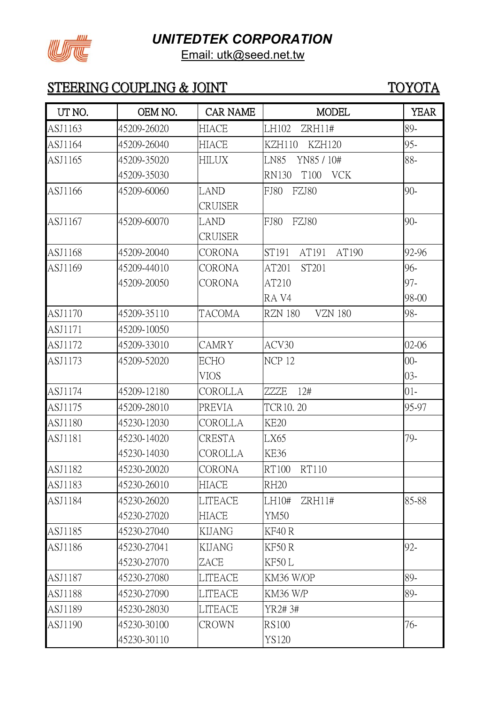

Email: utk@seed.net.tw

| UT NO.         | OEM NO.     | <b>CAR NAME</b> | <b>MODEL</b>                       | <b>YEAR</b> |
|----------------|-------------|-----------------|------------------------------------|-------------|
| ASJ1163        | 45209-26020 | <b>HIACE</b>    | LH102<br>ZRH11#                    | 89-         |
| ASJ1164        | 45209-26040 | <b>HIACE</b>    | <b>KZH110</b><br><b>KZH120</b>     | 95-         |
| ASJ1165        | 45209-35020 | <b>HILUX</b>    | <b>LN85</b><br>YN85 / 10#          | 88-         |
|                | 45209-35030 |                 | T100<br><b>RN130</b><br><b>VCK</b> |             |
| ASJ1166        | 45209-60060 | LAND            | FZJ80<br><b>FJ80</b>               | $90 -$      |
|                |             | <b>CRUISER</b>  |                                    |             |
| ASJ1167        | 45209-60070 | LAND            | FZJ80<br>FJ80                      | $90 -$      |
|                |             | CRUISER         |                                    |             |
| ASJ1168        | 45209-20040 | <b>CORONA</b>   | AT190<br>ST191<br>AT191            | 92-96       |
| ASJ1169        | 45209-44010 | <b>CORONA</b>   | ST201<br>AT201                     | 96-         |
|                | 45209-20050 | CORONA          | AT210                              | 97-         |
|                |             |                 | RA V4                              | 98-00       |
| ASJ1170        | 45209-35110 | <b>TACOMA</b>   | <b>VZN 180</b><br><b>RZN 180</b>   | 98-         |
| ASJ1171        | 45209-10050 |                 |                                    |             |
| ASJ1172        | 45209-33010 | <b>CAMRY</b>    | ACV30                              | $02 - 06$   |
| ASJ1173        | 45209-52020 | <b>ECHO</b>     | NCP <sub>12</sub>                  | $00 -$      |
|                |             | <b>VIOS</b>     |                                    | $03 -$      |
| ASJ1174        | 45209-12180 | COROLLA         | ZZZE<br>12#                        | $01 -$      |
| ASJ1175        | 45209-28010 | <b>PREVIA</b>   | <b>TCR10.20</b>                    | 95-97       |
| ASJ1180        | 45230-12030 | COROLLA         | <b>KE20</b>                        |             |
| ASJ1181        | 45230-14020 | <b>CRESTA</b>   | LX65                               | 79-         |
|                | 45230-14030 | COROLLA         | KE36                               |             |
| ASJ1182        | 45230-20020 | <b>CORONA</b>   | <b>RT110</b><br>RT100              |             |
| ASJ1183        | 45230-26010 | <b>HIACE</b>    | <b>RH20</b>                        |             |
| ASJ1184        | 45230-26020 | LITEACE         | LH10#<br>ZRH11#                    | 85-88       |
|                | 45230-27020 | <b>HIACE</b>    | YM50                               |             |
| ASJ1185        | 45230-27040 | <b>KIJANG</b>   | KF40 R                             |             |
| ASJ1186        | 45230-27041 | <b>KIJANG</b>   | KF50R                              | 92-         |
|                | 45230-27070 | ZACE            | KF50L                              |             |
| ASJ1187        | 45230-27080 | <b>LITEACE</b>  | KM36 W/OP                          | 89-         |
| <b>ASJ1188</b> | 45230-27090 | LITEACE         | KM36 W/P                           | 89-         |
| ASJ1189        | 45230-28030 | LITEACE         | YR2#3#                             |             |
| ASJ1190        | 45230-30100 | <b>CROWN</b>    | <b>RS100</b>                       | 76-         |
|                | 45230-30110 |                 | <b>YS120</b>                       |             |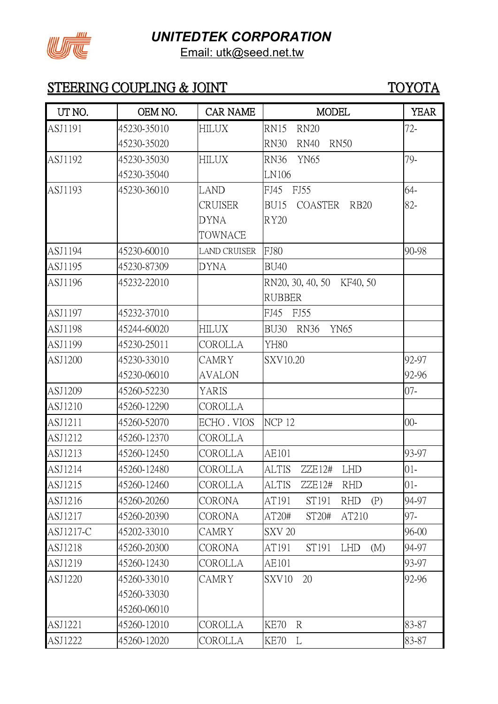



Email: utk@seed.net.tw

| UT NO.         | OEM NO.     | <b>CAR NAME</b>     | <b>MODEL</b>                              | <b>YEAR</b> |
|----------------|-------------|---------------------|-------------------------------------------|-------------|
| ASJ1191        | 45230-35010 | HILUX               | <b>RN20</b><br>RN15                       | $72 -$      |
|                | 45230-35020 |                     | <b>RN30</b><br><b>RN40</b><br><b>RN50</b> |             |
| ASJ1192        | 45230-35030 | <b>HILUX</b>        | <b>YN65</b><br><b>RN36</b>                | 79-         |
|                | 45230-35040 |                     | LN106                                     |             |
| ASJ1193        | 45230-36010 | <b>LAND</b>         | FJ45 FJ55                                 | 64-         |
|                |             | <b>CRUISER</b>      | <b>BU15</b><br>COASTER<br><b>RB20</b>     | 82-         |
|                |             | <b>DYNA</b>         | <b>RY20</b>                               |             |
|                |             | <b>TOWNACE</b>      |                                           |             |
| ASJ1194        | 45230-60010 | <b>LAND CRUISER</b> | <b>FJ80</b>                               | 90-98       |
| ASJ1195        | 45230-87309 | <b>DYNA</b>         | <b>BU40</b>                               |             |
| ASJ1196        | 45232-22010 |                     | RN20, 30, 40, 50 KF40, 50                 |             |
|                |             |                     | <b>RUBBER</b>                             |             |
| ASJ1197        | 45232-37010 |                     | FJ45<br>FJ55                              |             |
| ASJ1198        | 45244-60020 | HILUX               | <b>RN36</b><br><b>YN65</b><br>BU30        |             |
| ASJ1199        | 45230-25011 | <b>COROLLA</b>      | <b>YH80</b>                               |             |
| <b>ASJ1200</b> | 45230-33010 | <b>CAMRY</b>        | SXV10.20                                  | 92-97       |
|                | 45230-06010 | <b>AVALON</b>       |                                           | 92-96       |
| ASJ1209        | 45260-52230 | YARIS               |                                           | $07 -$      |
| ASJ1210        | 45260-12290 | COROLLA             |                                           |             |
| ASJ1211        | 45260-52070 | ECHO. VIOS          | NCP <sub>12</sub>                         | $00 -$      |
| ASJ1212        | 45260-12370 | <b>COROLLA</b>      |                                           |             |
| ASJ1213        | 45260-12450 | <b>COROLLA</b>      | AE101                                     | 93-97       |
| ASJ1214        | 45260-12480 | COROLLA             | <b>ALTIS</b><br>ZZE12#<br>LHD             | $01 -$      |
| ASJ1215        | 45260-12460 | COROLLA             | <b>ALTIS</b><br><b>RHD</b><br>ZZE12#      | $01 -$      |
| ASJ1216        | 45260-20260 | <b>CORONA</b>       | AT191<br>ST191<br>(P)<br><b>RHD</b>       | 94-97       |
| ASJ1217        | 45260-20390 | <b>CORONA</b>       | AT210<br>AT20#<br>ST20#                   | 97-         |
| ASJ1217-C      | 45202-33010 | <b>CAMRY</b>        | <b>SXV 20</b>                             | 96-00       |
| ASJ1218        | 45260-20300 | <b>CORONA</b>       | AT191<br>ST191<br><b>LHD</b><br>(M)       | 94-97       |
| ASJ1219        | 45260-12430 | COROLLA             | AE101                                     | 93-97       |
| ASJ1220        | 45260-33010 | CAMRY               | 20<br>SXV <sub>10</sub>                   | 92-96       |
|                | 45260-33030 |                     |                                           |             |
|                | 45260-06010 |                     |                                           |             |
| ASJ1221        | 45260-12010 | COROLLA             | $\mathbb{R}$<br><b>KE70</b>               | 83-87       |
| ASJ1222        | 45260-12020 | <b>COROLLA</b>      | <b>KE70</b><br>L                          | 83-87       |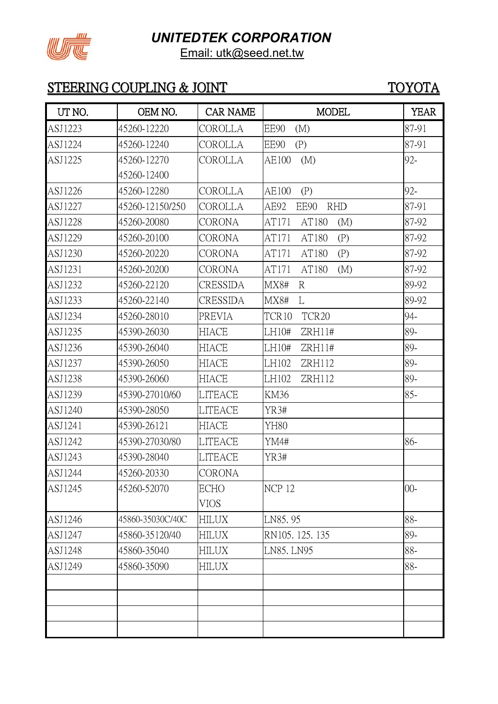

Email: utk@seed.net.tw

| UT NO.         | OEM NO.          | <b>CAR NAME</b> | <b>MODEL</b>                | <b>YEAR</b> |
|----------------|------------------|-----------------|-----------------------------|-------------|
| ASJ1223        | 45260-12220      | COROLLA         | EE90<br>(M)                 | 87-91       |
| ASJ1224        | 45260-12240      | COROLLA         | EE90<br>(P)                 | 87-91       |
| ASJ1225        | 45260-12270      | COROLLA         | (M)<br>AE100                | 92-         |
|                | 45260-12400      |                 |                             |             |
| ASJ1226        | 45260-12280      | COROLLA         | AE100<br>(P)                | 92-         |
| ASJ1227        | 45260-12150/250  | COROLLA         | <b>RHD</b><br>AE92<br>EE90  | 87-91       |
| <b>ASJ1228</b> | 45260-20080      | <b>CORONA</b>   | AT171<br>AT180<br>(M)       | 87-92       |
| ASJ1229        | 45260-20100      | <b>CORONA</b>   | AT180<br>(P)<br>AT171       | 87-92       |
| ASJ1230        | 45260-20220      | <b>CORONA</b>   | AT180<br>AT171<br>(P)       | 87-92       |
| ASJ1231        | 45260-20200      | <b>CORONA</b>   | AT171<br>AT180<br>(M)       | 87-92       |
| ASJ1232        | 45260-22120      | CRESSIDA        | <b>MX8#</b><br>$\mathbb{R}$ | 89-92       |
| ASJ1233        | 45260-22140      | <b>CRESSIDA</b> | MX8#<br>L                   | 89-92       |
| ASJ1234        | 45260-28010      | <b>PREVIA</b>   | TCR <sub>20</sub><br>TCR10  | 94-         |
| ASJ1235        | 45390-26030      | <b>HIACE</b>    | LH10#<br>ZRH11#             | 89-         |
| ASJ1236        | 45390-26040      | HIACE           | LH10#<br>ZRH11#             | 89-         |
| ASJ1237        | 45390-26050      | HIACE           | LH102<br>ZRH112             | 89-         |
| ASJ1238        | 45390-26060      | <b>HIACE</b>    | LH102<br>ZRH112             | 89-         |
| ASJ1239        | 45390-27010/60   | <b>LITEACE</b>  | KM36                        | $85 -$      |
| ASJ1240        | 45390-28050      | <b>LITEACE</b>  | YR3#                        |             |
| ASJ1241        | 45390-26121      | <b>HIACE</b>    | YH80                        |             |
| ASJ1242        | 45390-27030/80   | <b>LITEACE</b>  | YM4#                        | 86-         |
| ASJ1243        | 45390-28040      | <b>LITEACE</b>  | YR3#                        |             |
| ASJ1244        | 45260-20330      | <b>CORONA</b>   |                             |             |
| ASJ1245        | 45260-52070      | <b>ECHO</b>     | <b>NCP 12</b>               | $00 -$      |
|                |                  | <b>VIOS</b>     |                             |             |
| ASJ1246        | 45860-35030C/40C | <b>HILUX</b>    | LN85.95                     | 88-         |
| ASJ1247        | 45860-35120/40   | <b>HILUX</b>    | RN105. 125. 135             | 89-         |
| ASJ1248        | 45860-35040      | HILUX           | LN85. LN95                  | 88-         |
| ASJ1249        | 45860-35090      | <b>HILUX</b>    |                             | 88-         |
|                |                  |                 |                             |             |
|                |                  |                 |                             |             |
|                |                  |                 |                             |             |
|                |                  |                 |                             |             |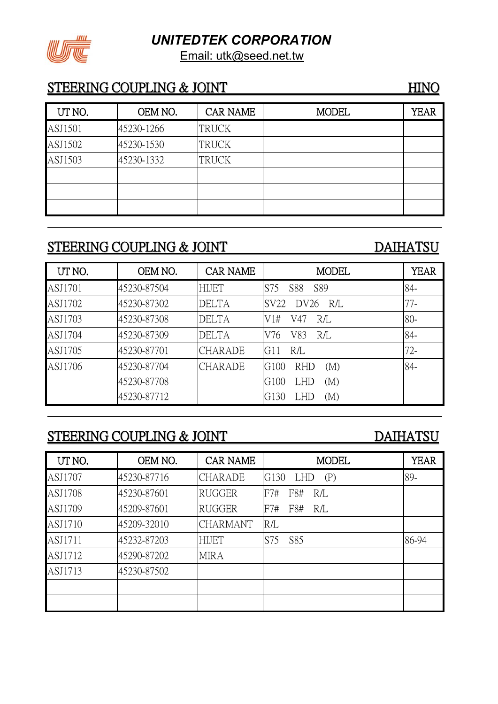Email: utk@seed.net.tw



### STEERING COUPLING & JOINT HINO

| UT NO.  | OEM NO.    | <b>CAR NAME</b> | <b>MODEL</b> | <b>YEAR</b> |
|---------|------------|-----------------|--------------|-------------|
| ASJ1501 | 45230-1266 | <b>TRUCK</b>    |              |             |
| ASJ1502 | 45230-1530 | <b>TRUCK</b>    |              |             |
| ASJ1503 | 45230-1332 | <b>TRUCK</b>    |              |             |
|         |            |                 |              |             |
|         |            |                 |              |             |
|         |            |                 |              |             |

# STEERING COUPLING & JOINT DAIHATSU

| UT NO.  | OEM NO.     | <b>CAR NAME</b> | <b>MODEL</b>              | <b>YEAR</b> |
|---------|-------------|-----------------|---------------------------|-------------|
| ASJ1701 | 45230-87504 | <b>HIJET</b>    | <b>S88</b><br>S89<br>S75  | 84-         |
| ASJ1702 | 45230-87302 | <b>DELTA</b>    | DV26 R/L<br>SV22          | $77-$       |
| ASJ1703 | 45230-87308 | <b>DELTA</b>    | R/L<br>V1#<br>V47         | 80-         |
| ASJ1704 | 45230-87309 | <b>DELTA</b>    | V83<br>V76<br>R/L         | 84-         |
| ASJ1705 | 45230-87701 | <b>CHARADE</b>  | R/L<br>G11                | $72 -$      |
| ASJ1706 | 45230-87704 | <b>CHARADE</b>  | G100<br><b>RHD</b><br>(M) | 84-         |
|         | 45230-87708 |                 | G100<br>(M)<br><b>LHD</b> |             |
|         | 45230-87712 |                 | G130<br>(M)<br><b>LHD</b> |             |

# STEERING COUPLING & JOINT DAIHATSU

| UT NO.         | OEM NO.     | <b>CAR NAME</b> | <b>MODEL</b>              | <b>YEAR</b> |
|----------------|-------------|-----------------|---------------------------|-------------|
| <b>ASJ1707</b> | 45230-87716 | <b>CHARADE</b>  | G130<br><b>LHD</b><br>(P) | 89-         |
| <b>ASJ1708</b> | 45230-87601 | <b>RUGGER</b>   | F8#<br>F7#<br>R/L         |             |
| ASJ1709        | 45209-87601 | <b>RUGGER</b>   | F8#<br>F7#<br>R/L         |             |
| <b>ASJ1710</b> | 45209-32010 | <b>CHARMANT</b> | R/L                       |             |
| ASJ1711        | 45232-87203 | <b>HIJET</b>    | S75<br>S85                | 86-94       |
| ASJ1712        | 45290-87202 | <b>MIRA</b>     |                           |             |
| ASJ1713        | 45230-87502 |                 |                           |             |
|                |             |                 |                           |             |
|                |             |                 |                           |             |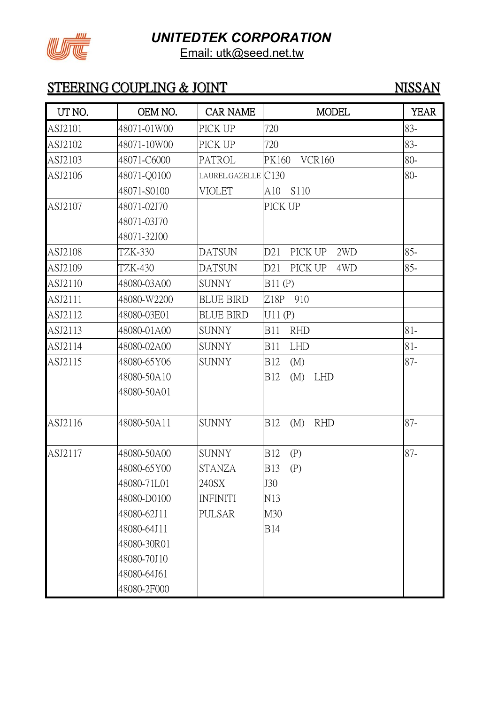

Email: utk@seed.net.tw

# STEERING COUPLING & JOINT NISSAN

| UT NO.  | OEM NO.     | <b>CAR NAME</b>     | <b>MODEL</b>                    | <b>YEAR</b> |
|---------|-------------|---------------------|---------------------------------|-------------|
| ASJ2101 | 48071-01W00 | PICK UP             | 720                             | 83-         |
| ASJ2102 | 48071-10W00 | PICK UP             | 720                             | 83-         |
| ASJ2103 | 48071-C6000 | <b>PATROL</b>       | PK160<br><b>VCR160</b>          | $80-$       |
| ASJ2106 | 48071-Q0100 | LAUREL.GAZELLE C130 |                                 | 80-         |
|         | 48071-S0100 | <b>VIOLET</b>       | S110<br>A10                     |             |
| ASJ2107 | 48071-02J70 |                     | PICK UP                         |             |
|         | 48071-03J70 |                     |                                 |             |
|         | 48071-32J00 |                     |                                 |             |
| ASJ2108 | TZK-330     | <b>DATSUN</b>       | D21<br>PICK UP<br>2WD           | $85 -$      |
| ASJ2109 | TZK-430     | <b>DATSUN</b>       | D21<br>PICK UP<br>4WD           | $85 -$      |
| ASJ2110 | 48080-03A00 | <b>SUNNY</b>        | B11(P)                          |             |
| ASJ2111 | 48080-W2200 | <b>BLUE BIRD</b>    | Z18P<br>910                     |             |
| ASJ2112 | 48080-03E01 | <b>BLUE BIRD</b>    | U11(P)                          |             |
| ASJ2113 | 48080-01A00 | <b>SUNNY</b>        | <b>B11</b><br><b>RHD</b>        | $81 -$      |
| ASJ2114 | 48080-02A00 | <b>SUNNY</b>        | <b>LHD</b><br><b>B11</b>        | $81 -$      |
| ASJ2115 | 48080-65Y06 | <b>SUNNY</b>        | <b>B12</b><br>(M)               | 87-         |
|         | 48080-50A10 |                     | <b>B12</b><br>(M)<br>LHD        |             |
|         | 48080-50A01 |                     |                                 |             |
| ASJ2116 | 48080-50A11 | <b>SUNNY</b>        | <b>B12</b><br><b>RHD</b><br>(M) | $87 -$      |
| ASJ2117 | 48080-50A00 | <b>SUNNY</b>        | <b>B12</b><br>(P)               | $87 -$      |
|         | 48080-65Y00 | <b>STANZA</b>       | <b>B</b> 13<br>(P)              |             |
|         | 48080-71L01 | 240SX               | J30                             |             |
|         | 48080-D0100 | <b>INFINITI</b>     | N13                             |             |
|         | 48080-62J11 | <b>PULSAR</b>       | M30                             |             |
|         | 48080-64J11 |                     | <b>B14</b>                      |             |
|         | 48080-30R01 |                     |                                 |             |
|         | 48080-70J10 |                     |                                 |             |
|         | 48080-64J61 |                     |                                 |             |
|         | 48080-2F000 |                     |                                 |             |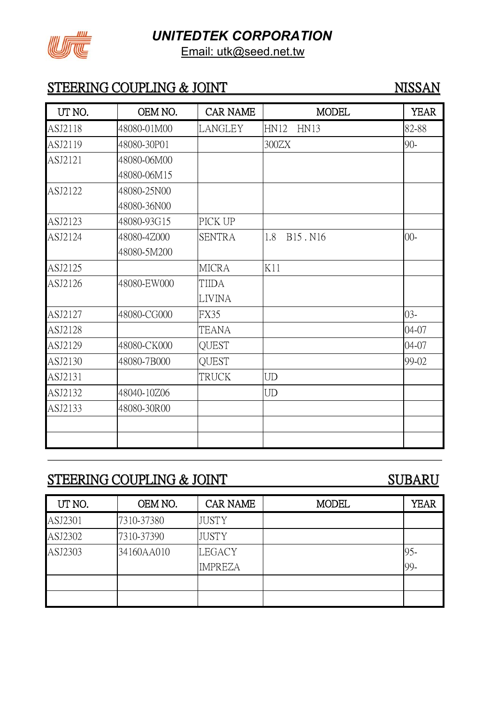

Email: utk@seed.net.tw

## STEERING COUPLING & JOINT NISSAN

| UT NO.  | OEM NO.     | <b>CAR NAME</b> | <b>MODEL</b>                            | <b>YEAR</b> |
|---------|-------------|-----------------|-----------------------------------------|-------------|
| ASJ2118 | 48080-01M00 | <b>LANGLEY</b>  | <b>HN12</b><br><b>HN13</b>              | 82-88       |
| ASJ2119 | 48080-30P01 |                 | 300ZX                                   | $90 -$      |
| ASJ2121 | 48080-06M00 |                 |                                         |             |
|         | 48080-06M15 |                 |                                         |             |
| ASJ2122 | 48080-25N00 |                 |                                         |             |
|         | 48080-36N00 |                 |                                         |             |
| ASJ2123 | 48080-93G15 | PICK UP         |                                         |             |
| ASJ2124 | 48080-4Z000 | <b>SENTRA</b>   | B <sub>15</sub> .N <sub>16</sub><br>1.8 | $00 -$      |
|         | 48080-5M200 |                 |                                         |             |
| ASJ2125 |             | <b>MICRA</b>    | K11                                     |             |
| ASJ2126 | 48080-EW000 | TIIDA           |                                         |             |
|         |             | <b>LIVINA</b>   |                                         |             |
| ASJ2127 | 48080-CG000 | <b>FX35</b>     |                                         | $03 -$      |
| ASJ2128 |             | TEANA           |                                         | 04-07       |
| ASJ2129 | 48080-CK000 | <b>QUEST</b>    |                                         | 04-07       |
| ASJ2130 | 48080-7B000 | <b>QUEST</b>    |                                         | 99-02       |
| ASJ2131 |             | TRUCK           | <b>UD</b>                               |             |
| ASJ2132 | 48040-10Z06 |                 | <b>UD</b>                               |             |
| ASJ2133 | 48080-30R00 |                 |                                         |             |
|         |             |                 |                                         |             |
|         |             |                 |                                         |             |

# STEERING COUPLING & JOINT SUBARU

| UT NO.  | OEM NO.    | <b>CAR NAME</b> | <b>MODEL</b> | <b>YEAR</b> |
|---------|------------|-----------------|--------------|-------------|
| ASJ2301 | 7310-37380 | <b>JUSTY</b>    |              |             |
| ASJ2302 | 7310-37390 | <b>JUSTY</b>    |              |             |
| ASJ2303 | 34160AA010 | LEGACY          |              | 95-         |
|         |            | <b>IMPREZA</b>  |              | 99-         |
|         |            |                 |              |             |
|         |            |                 |              |             |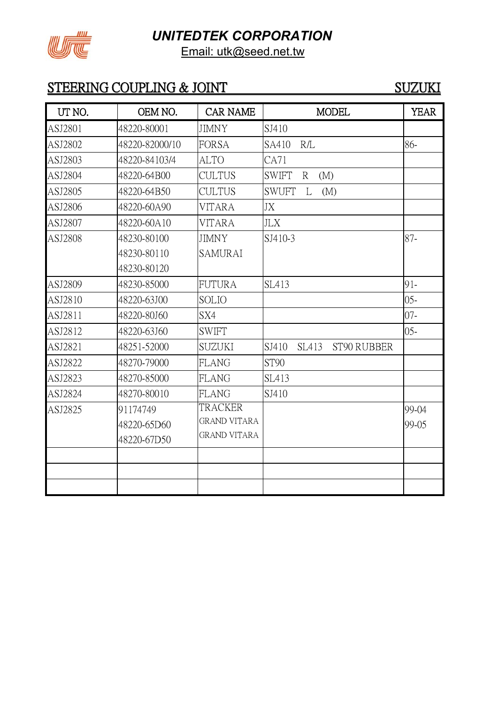

Email: utk@seed.net.tw

# STEERING COUPLING & JOINT SUZUKI

| UT NO.  | OEM NO.        | <b>CAR NAME</b>     | <b>MODEL</b>                        | <b>YEAR</b> |
|---------|----------------|---------------------|-------------------------------------|-------------|
| ASJ2801 | 48220-80001    | <b>JIMNY</b>        | SJ410                               |             |
| ASJ2802 | 48220-82000/10 | <b>FORSA</b>        | SA410<br>R/L                        | 86-         |
| ASJ2803 | 48220-84103/4  | <b>ALTO</b>         | CA71                                |             |
| ASJ2804 | 48220-64B00    | <b>CULTUS</b>       | <b>SWIFT</b><br>$\mathbb{R}$<br>(M) |             |
| ASJ2805 | 48220-64B50    | <b>CULTUS</b>       | <b>SWUFT</b><br>L<br>(M)            |             |
| ASJ2806 | 48220-60A90    | <b>VITARA</b>       | JX                                  |             |
| ASJ2807 | 48220-60A10    | <b>VITARA</b>       | <b>JLX</b>                          |             |
| ASJ2808 | 48230-80100    | <b>JIMNY</b>        | SJ410-3                             | $87 -$      |
|         | 48230-80110    | <b>SAMURAI</b>      |                                     |             |
|         | 48230-80120    |                     |                                     |             |
| ASJ2809 | 48230-85000    | <b>FUTURA</b>       | <b>SL413</b>                        | 91-         |
| ASJ2810 | 48220-63J00    | <b>SOLIO</b>        |                                     | $05 -$      |
| ASJ2811 | 48220-80J60    | SX4                 |                                     | $07 -$      |
| ASJ2812 | 48220-63J60    | <b>SWIFT</b>        |                                     | $05 -$      |
| ASJ2821 | 48251-52000    | <b>SUZUKI</b>       | SJ410<br>SL413<br>ST90 RUBBER       |             |
| ASJ2822 | 48270-79000    | <b>FLANG</b>        | ST90                                |             |
| ASJ2823 | 48270-85000    | <b>FLANG</b>        | <b>SL413</b>                        |             |
| ASJ2824 | 48270-80010    | <b>FLANG</b>        | SJ410                               |             |
| ASJ2825 | 91174749       | TRACKER             |                                     | 99-04       |
|         | 48220-65D60    | <b>GRAND VITARA</b> |                                     | 99-05       |
|         | 48220-67D50    | <b>GRAND VITARA</b> |                                     |             |
|         |                |                     |                                     |             |
|         |                |                     |                                     |             |
|         |                |                     |                                     |             |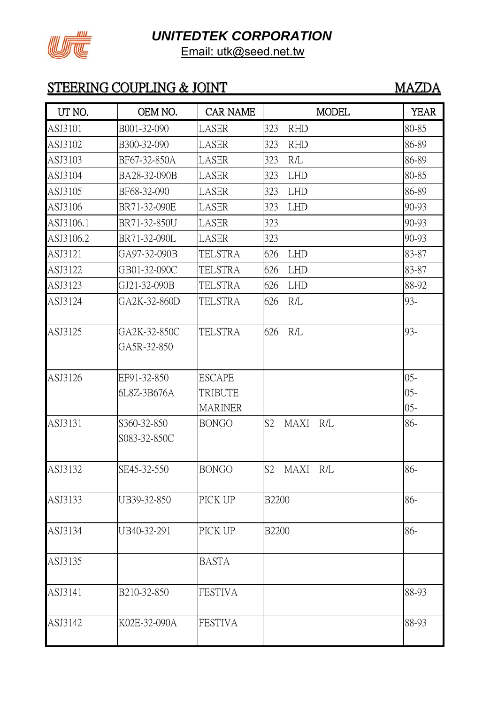

# STEERING COUPLING & JOINT MAZDA

| UT NO.    | OEM NO.                     | <b>CAR NAME</b> | <b>MODEL</b>                         | <b>YEAR</b> |
|-----------|-----------------------------|-----------------|--------------------------------------|-------------|
| ASJ3101   | B001-32-090                 | LASER           | 323<br><b>RHD</b>                    | 80-85       |
| ASJ3102   | B300-32-090                 | LASER           | 323<br><b>RHD</b>                    | 86-89       |
| ASJ3103   | BF67-32-850A                | LASER           | 323<br>R/L                           | 86-89       |
| ASJ3104   | BA28-32-090B                | LASER           | 323<br><b>LHD</b>                    | 80-85       |
| ASJ3105   | BF68-32-090                 | LASER           | 323<br><b>LHD</b>                    | 86-89       |
| ASJ3106   | BR71-32-090E                | LASER           | 323<br><b>LHD</b>                    | 90-93       |
| ASJ3106.1 | BR71-32-850U                | LASER           | 323                                  | 90-93       |
| ASJ3106.2 | BR71-32-090L                | LASER           | 323                                  | 90-93       |
| ASJ3121   | GA97-32-090B                | TELSTRA         | 626<br><b>LHD</b>                    | 83-87       |
| ASJ3122   | GB01-32-090C                | <b>TELSTRA</b>  | 626<br><b>LHD</b>                    | 83-87       |
| ASJ3123   | GJ21-32-090B                | TELSTRA         | 626<br><b>LHD</b>                    | 88-92       |
| ASJ3124   | GA2K-32-860D                | <b>TELSTRA</b>  | 626<br>R/L                           | 93-         |
| ASJ3125   | GA2K-32-850C<br>GA5R-32-850 | TELSTRA         | 626<br>R/L                           | 93-         |
| ASJ3126   | EF91-32-850                 | <b>ESCAPE</b>   |                                      | $05 -$      |
|           | 6L8Z-3B676A                 | TRIBUTE         |                                      | $05 -$      |
|           |                             | <b>MARINER</b>  |                                      | $05 -$      |
| ASJ3131   | S360-32-850<br>S083-32-850C | <b>BONGO</b>    | S2<br><b>MAXI</b><br>R/L             | 86-         |
| ASJ3132   | SE45-32-550                 | <b>BONGO</b>    | S <sub>2</sub><br><b>MAXI</b><br>R/L | 86-         |
| ASJ3133   | UB39-32-850                 | PICK UP         | <b>B2200</b>                         | 86-         |
| ASJ3134   | UB40-32-291                 | PICK UP         | <b>B2200</b>                         | 86-         |
| ASJ3135   |                             | <b>BASTA</b>    |                                      |             |
| ASJ3141   | B210-32-850                 | <b>FESTIVA</b>  |                                      | 88-93       |
| ASJ3142   | K02E-32-090A                | <b>FESTIVA</b>  |                                      | 88-93       |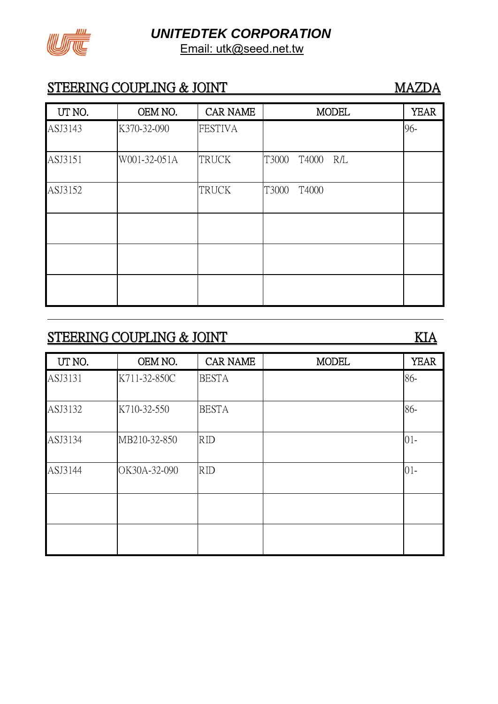

### STEERING COUPLING & JOINT MAZDA

| UT NO.  | OEM NO.      | <b>CAR NAME</b> | <b>MODEL</b>          | <b>YEAR</b> |
|---------|--------------|-----------------|-----------------------|-------------|
| ASJ3143 | K370-32-090  | <b>FESTIVA</b>  |                       | 96-         |
| ASJ3151 | W001-32-051A | <b>TRUCK</b>    | T3000<br>T4000<br>R/L |             |
| ASJ3152 |              | <b>TRUCK</b>    | T3000<br>T4000        |             |
|         |              |                 |                       |             |
|         |              |                 |                       |             |
|         |              |                 |                       |             |

# STEERING COUPLING & JOINT KIA

# UT NO. CEM NO. CAR NAME MODEL YEAR ASJ3131 K711-32-850C BESTA | 86-ASJ3132 K710-32-550 BESTA 86-ASJ3134 | MB210-32-850 | RID | 01-ASJ3144 OK30A-32-090 RID 01-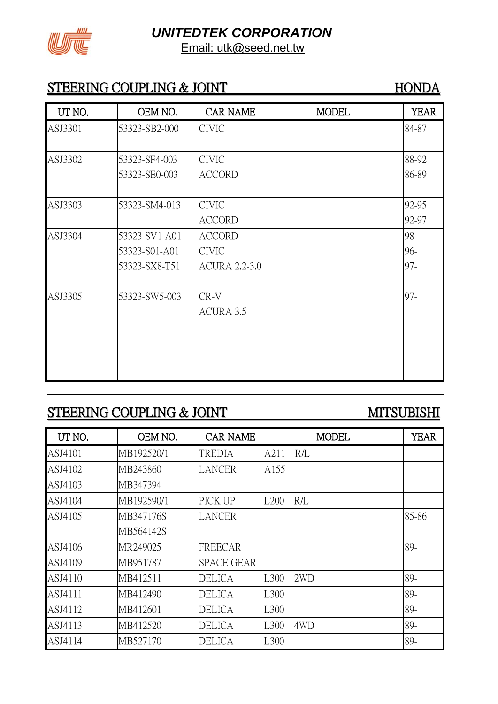

### STEERING COUPLING & JOINT HONDA

| UT NO.  | OEM NO.       | <b>CAR NAME</b>      | <b>MODEL</b> | <b>YEAR</b> |
|---------|---------------|----------------------|--------------|-------------|
| ASJ3301 | 53323-SB2-000 | <b>CIVIC</b>         |              | 84-87       |
|         |               |                      |              |             |
| ASJ3302 | 53323-SF4-003 | <b>CIVIC</b>         |              | 88-92       |
|         | 53323-SE0-003 | <b>ACCORD</b>        |              | 86-89       |
|         |               |                      |              |             |
| ASJ3303 | 53323-SM4-013 | <b>CIVIC</b>         |              | 92-95       |
|         |               | <b>ACCORD</b>        |              | 92-97       |
| ASJ3304 | 53323-SV1-A01 | <b>ACCORD</b>        |              | 98-         |
|         | 53323-S01-A01 | <b>CIVIC</b>         |              | 96-         |
|         | 53323-SX8-T51 | <b>ACURA 2.2-3.0</b> |              | 97-         |
| ASJ3305 | 53323-SW5-003 | CR-V                 |              | 97-         |
|         |               |                      |              |             |
|         |               | ACURA 3.5            |              |             |
|         |               |                      |              |             |
|         |               |                      |              |             |
|         |               |                      |              |             |

# STEERING COUPLING & JOINT MITSUBISHI

| UT NO.  | OEM NO.    | <b>CAR NAME</b>   |                  | <b>MODEL</b> | <b>YEAR</b> |
|---------|------------|-------------------|------------------|--------------|-------------|
| ASJ4101 | MB192520/1 | TREDIA            | A211             | R/L          |             |
| ASJ4102 | MB243860   | <b>LANCER</b>     | A155             |              |             |
| ASJ4103 | MB347394   |                   |                  |              |             |
| ASJ4104 | MB192590/1 | PICK UP           | L <sub>200</sub> | R/L          |             |
| ASJ4105 | MB347176S  | <b>LANCER</b>     |                  |              | 85-86       |
|         | MB564142S  |                   |                  |              |             |
| ASJ4106 | MR249025   | <b>FREECAR</b>    |                  |              | 89-         |
| ASJ4109 | MB951787   | <b>SPACE GEAR</b> |                  |              |             |
| ASJ4110 | MB412511   | DELICA            | L300             | 2WD          | 89-         |
| ASJ4111 | MB412490   | <b>DELICA</b>     | L300             |              | 89-         |
| ASJ4112 | MB412601   | <b>DELICA</b>     | L300             |              | 89-         |
| ASJ4113 | MB412520   | <b>DELICA</b>     | L300             | 4WD          | 89-         |
| ASJ4114 | MB527170   | DELICA            | L300             |              | 89-         |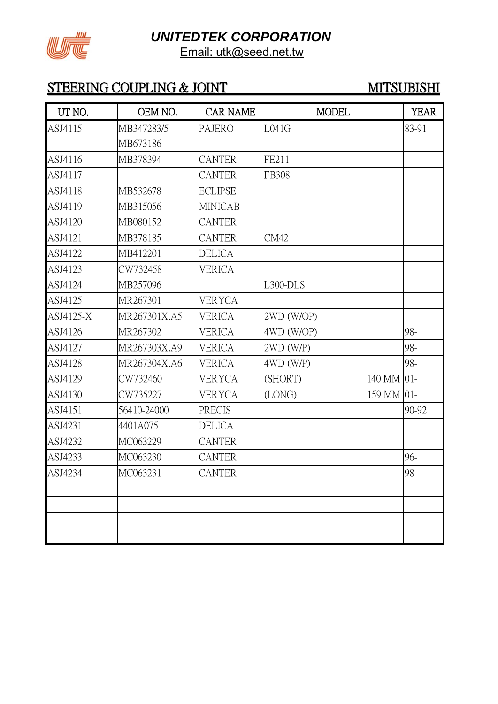

# STEERING COUPLING & JOINT MITSUBISHI

| UT NO.    | OEM NO.      | <b>CAR NAME</b> | <b>MODEL</b>          | <b>YEAR</b> |
|-----------|--------------|-----------------|-----------------------|-------------|
| ASJ4115   | MB347283/5   | <b>PAJERO</b>   | L041G                 | 83-91       |
|           | MB673186     |                 |                       |             |
| ASJ4116   | MB378394     | <b>CANTER</b>   | FE211                 |             |
| ASJ4117   |              | <b>CANTER</b>   | FB308                 |             |
| ASJ4118   | MB532678     | <b>ECLIPSE</b>  |                       |             |
| ASJ4119   | MB315056     | <b>MINICAB</b>  |                       |             |
| ASJ4120   | MB080152     | <b>CANTER</b>   |                       |             |
| ASJ4121   | MB378185     | <b>CANTER</b>   | CM42                  |             |
| ASJ4122   | MB412201     | <b>DELICA</b>   |                       |             |
| ASJ4123   | CW732458     | <b>VERICA</b>   |                       |             |
| ASJ4124   | MB257096     |                 | $L300-DLS$            |             |
| ASJ4125   | MR267301     | <b>VERYCA</b>   |                       |             |
| ASJ4125-X | MR267301X.A5 | <b>VERICA</b>   | 2WD (W/OP)            |             |
| ASJ4126   | MR267302     | <b>VERICA</b>   | 4WD (W/OP)            | 98-         |
| ASJ4127   | MR267303X.A9 | <b>VERICA</b>   | $2WD$ (W/P)           | 98-         |
| ASJ4128   | MR267304X.A6 | <b>VERICA</b>   | $4WD$ (W/P)           | 98-         |
| ASJ4129   | CW732460     | <b>VERYCA</b>   | (SHORT)<br>140 MM 01- |             |
| ASJ4130   | CW735227     | VERYCA          | 159 MM 01-<br>(LONG)  |             |
| ASJ4151   | 56410-24000  | <b>PRECIS</b>   |                       | 90-92       |
| ASJ4231   | 4401A075     | <b>DELICA</b>   |                       |             |
| ASJ4232   | MC063229     | <b>CANTER</b>   |                       |             |
| ASJ4233   | MC063230     | <b>CANTER</b>   |                       | 96-         |
| ASJ4234   | MC063231     | <b>CANTER</b>   |                       | 98-         |
|           |              |                 |                       |             |
|           |              |                 |                       |             |
|           |              |                 |                       |             |
|           |              |                 |                       |             |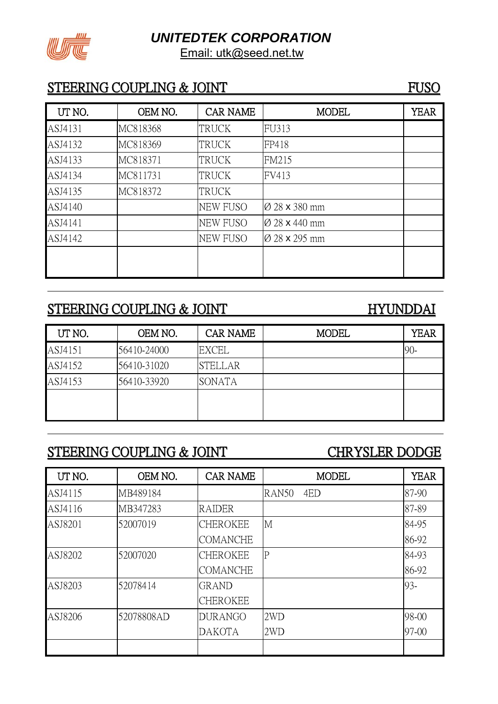

### STEERING COUPLING & JOINT FUSO

| UT NO.  | OEM NO.  | <b>CAR NAME</b> | <b>MODEL</b>              | <b>YEAR</b> |
|---------|----------|-----------------|---------------------------|-------------|
| ASJ4131 | MC818368 | <b>TRUCK</b>    | FU313                     |             |
| ASJ4132 | MC818369 | <b>TRUCK</b>    | FP418                     |             |
| ASJ4133 | MC818371 | <b>TRUCK</b>    | <b>FM215</b>              |             |
| ASJ4134 | MC811731 | <b>TRUCK</b>    | FV413                     |             |
| ASJ4135 | MC818372 | <b>TRUCK</b>    |                           |             |
| ASJ4140 |          | <b>NEW FUSO</b> | Ø 28 x 380 mm             |             |
| ASJ4141 |          | <b>NEW FUSO</b> | $\varnothing$ 28 x 440 mm |             |
| ASJ4142 |          | <b>NEW FUSO</b> | Ø 28 x 295 mm             |             |
|         |          |                 |                           |             |
|         |          |                 |                           |             |

# STEERING COUPLING & JOINT HYUNDDAI

| UT NO.  | OEM NO.     | <b>CAR NAME</b> | <b>MODEL</b> | YEAR   |
|---------|-------------|-----------------|--------------|--------|
| ASJ4151 | 56410-24000 | <b>EXCEL</b>    |              | $90 -$ |
| ASJ4152 | 56410-31020 | <b>STELLAR</b>  |              |        |
| ASJ4153 | 56410-33920 | <b>SONATA</b>   |              |        |
|         |             |                 |              |        |
|         |             |                 |              |        |

# STEERING COUPLING & JOINT CHRYSLER DODGE

| UT NO.  | OEM NO.    | <b>CAR NAME</b> | <b>MODEL</b> | <b>YEAR</b> |
|---------|------------|-----------------|--------------|-------------|
| ASJ4115 | MB489184   |                 | RAN50<br>4ED | 87-90       |
| ASJ4116 | MB347283   | <b>RAIDER</b>   |              | 87-89       |
| ASJ8201 | 52007019   | <b>CHEROKEE</b> | M            | 84-95       |
|         |            | <b>COMANCHE</b> |              | 86-92       |
| ASJ8202 | 52007020   | <b>CHEROKEE</b> | $\mathbf P$  | 84-93       |
|         |            | <b>COMANCHE</b> |              | 86-92       |
| ASJ8203 | 52078414   | <b>GRAND</b>    |              | 93-         |
|         |            | <b>CHEROKEE</b> |              |             |
| ASJ8206 | 52078808AD | <b>DURANGO</b>  | 2WD          | 98-00       |
|         |            | <b>DAKOTA</b>   | 2WD          | 97-00       |
|         |            |                 |              |             |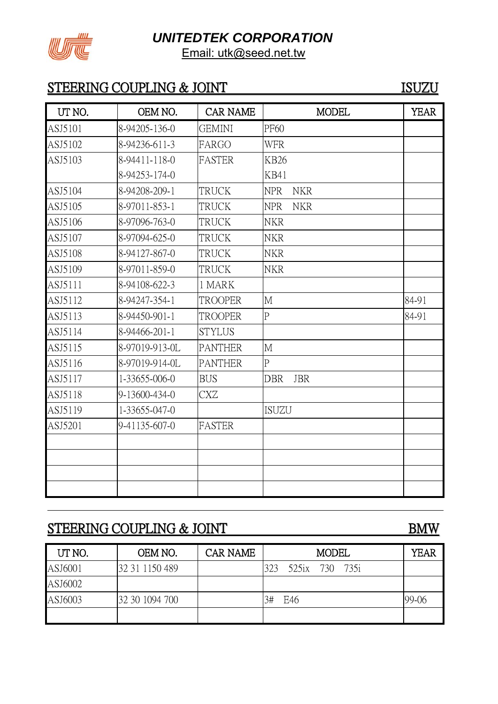

### STEERING COUPLING & JOINT ISUZU

| UT NO.  | OEM NO.        | <b>CAR NAME</b> | <b>MODEL</b>             | <b>YEAR</b> |
|---------|----------------|-----------------|--------------------------|-------------|
| ASJ5101 | 8-94205-136-0  | <b>GEMINI</b>   | <b>PF60</b>              |             |
| ASJ5102 | 8-94236-611-3  | FARGO           | <b>WFR</b>               |             |
| ASJ5103 | 8-94411-118-0  | <b>FASTER</b>   | <b>KB26</b>              |             |
|         | 8-94253-174-0  |                 | <b>KB41</b>              |             |
| ASJ5104 | 8-94208-209-1  | <b>TRUCK</b>    | <b>NPR</b><br><b>NKR</b> |             |
| ASJ5105 | 8-97011-853-1  | TRUCK           | <b>NPR</b><br><b>NKR</b> |             |
| ASJ5106 | 8-97096-763-0  | TRUCK           | <b>NKR</b>               |             |
| ASJ5107 | 8-97094-625-0  | <b>TRUCK</b>    | <b>NKR</b>               |             |
| ASJ5108 | 8-94127-867-0  | <b>TRUCK</b>    | <b>NKR</b>               |             |
| ASJ5109 | 8-97011-859-0  | <b>TRUCK</b>    | <b>NKR</b>               |             |
| ASJ5111 | 8-94108-622-3  | 1 MARK          |                          |             |
| ASJ5112 | 8-94247-354-1  | <b>TROOPER</b>  | $\overline{M}$           | 84-91       |
| ASJ5113 | 8-94450-901-1  | <b>TROOPER</b>  | $\overline{P}$           | 84-91       |
| ASJ5114 | 8-94466-201-1  | <b>STYLUS</b>   |                          |             |
| ASJ5115 | 8-97019-913-0L | <b>PANTHER</b>  | M                        |             |
| ASJ5116 | 8-97019-914-0L | <b>PANTHER</b>  | ${\bf P}$                |             |
| ASJ5117 | 1-33655-006-0  | <b>BUS</b>      | <b>JBR</b><br><b>DBR</b> |             |
| ASJ5118 | 9-13600-434-0  | CXZ             |                          |             |
| ASJ5119 | 1-33655-047-0  |                 | <b>ISUZU</b>             |             |
| ASJ5201 | 9-41135-607-0  | <b>FASTER</b>   |                          |             |
|         |                |                 |                          |             |
|         |                |                 |                          |             |
|         |                |                 |                          |             |
|         |                |                 |                          |             |

# STEERING COUPLING & JOINT BMW

| UT NO.  | OEM NO.        | <b>CAR NAME</b> | <b>MODEL</b>          | <b>YEAR</b> |
|---------|----------------|-----------------|-----------------------|-------------|
| ASJ6001 | 32 31 1150 489 |                 | 323<br>525ix 730 735i |             |
| ASJ6002 |                |                 |                       |             |
| ASJ6003 | 32 30 1094 700 |                 | 3#<br>E46             | 99-06       |
|         |                |                 |                       |             |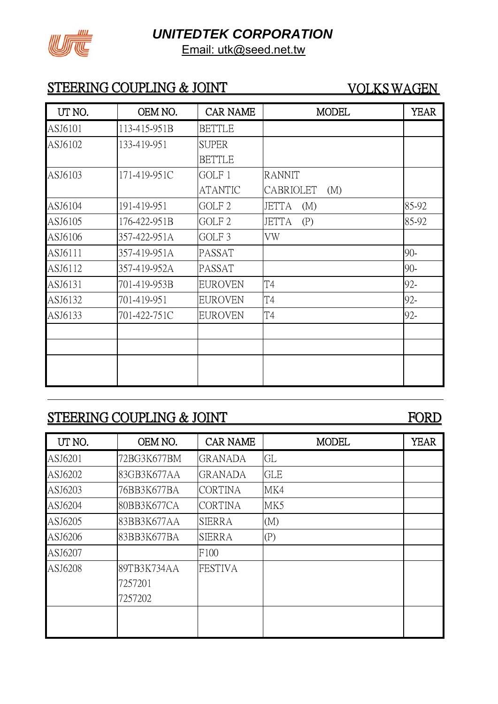

# STEERING COUPLING & JOINT VOLKS WAGEN

| UT NO.  | OEM NO.      | <b>CAR NAME</b>   | <b>MODEL</b>        | <b>YEAR</b> |
|---------|--------------|-------------------|---------------------|-------------|
| ASJ6101 | 113-415-951B | <b>BETTLE</b>     |                     |             |
| ASJ6102 | 133-419-951  | <b>SUPER</b>      |                     |             |
|         |              | <b>BETTLE</b>     |                     |             |
| ASJ6103 | 171-419-951C | GOLF 1            | <b>RANNIT</b>       |             |
|         |              | <b>ATANTIC</b>    | CABRIOLET<br>(M)    |             |
| ASJ6104 | 191-419-951  | GOLF <sub>2</sub> | <b>JETTA</b><br>(M) | 85-92       |
| ASJ6105 | 176-422-951B | GOLF <sub>2</sub> | <b>JETTA</b><br>(P) | 85-92       |
| ASJ6106 | 357-422-951A | GOLF <sub>3</sub> | VW                  |             |
| ASJ6111 | 357-419-951A | PASSAT            |                     | $90 -$      |
| ASJ6112 | 357-419-952A | PASSAT            |                     | $90 -$      |
| ASJ6131 | 701-419-953B | <b>EUROVEN</b>    | T4                  | 92-         |
| ASJ6132 | 701-419-951  | <b>EUROVEN</b>    | T4                  | 92-         |
| ASJ6133 | 701-422-751C | <b>EUROVEN</b>    | T <sub>4</sub>      | 92-         |
|         |              |                   |                     |             |
|         |              |                   |                     |             |
|         |              |                   |                     |             |
|         |              |                   |                     |             |

# STEERING COUPLING & JOINT FORD

| UT NO.  | OEM NO.     | <b>CAR NAME</b> | <b>MODEL</b> | <b>YEAR</b> |
|---------|-------------|-----------------|--------------|-------------|
| ASJ6201 | 72BG3K677BM | <b>GRANADA</b>  | GL           |             |
| ASJ6202 | 83GB3K677AA | <b>GRANADA</b>  | <b>GLE</b>   |             |
| ASJ6203 | 76BB3K677BA | <b>CORTINA</b>  | MK4          |             |
| ASJ6204 | 80BB3K677CA | <b>CORTINA</b>  | MK5          |             |
| ASJ6205 | 83BB3K677AA | <b>SIERRA</b>   | (M)          |             |
| ASJ6206 | 83BB3K677BA | <b>SIERRA</b>   | (P)          |             |
| ASJ6207 |             | F100            |              |             |
| ASJ6208 | 89TB3K734AA | <b>FESTIVA</b>  |              |             |
|         | 7257201     |                 |              |             |
|         | 7257202     |                 |              |             |
|         |             |                 |              |             |
|         |             |                 |              |             |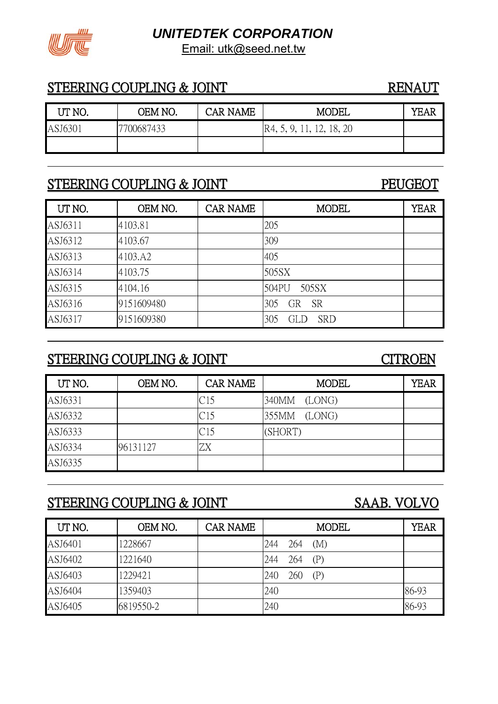

### STEERING COUPLING & JOINT RENAUT

| UT NO.  | OEM NO.    | CAR NAME | MODEL                      | YEAR |
|---------|------------|----------|----------------------------|------|
| ASJ6301 | 7700687433 |          | [R4, 5, 9, 11, 12, 18, 20] |      |
|         |            |          |                            |      |

### STEERING COUPLING & JOINT PEUGEOT

# UT NO. CEM NO. CAR NAME MODEL YEAR ASJ6311 4103.81 205 ASJ6312 4103.67 309 ASJ6313 4103.A2 405 ASJ6314 4103.75 | 505SX ASJ6315 4104.16 504PU 505SX ASJ6316 9151609480 305 GR SR ASJ6317 9151609380 305 GLD SRD

### STEERING COUPLING & JOINT CITROEN

| UT NO.  | OEM NO.  | <b>CAR NAME</b> | <b>MODEL</b>    | <b>YEAR</b> |
|---------|----------|-----------------|-----------------|-------------|
| ASJ6331 |          | C15             | 340MM<br>(LONG) |             |
| ASJ6332 |          | C15             | 355MM<br>(LONG) |             |
| ASJ6333 |          | C15             | (SHORT)         |             |
| ASJ6334 | 96131127 | ZΧ              |                 |             |
| ASJ6335 |          |                 |                 |             |

# STEERING COUPLING & JOINT SAAB. VOLVO

| UT NO.  | OEM NO.   | <b>CAR NAME</b> |     |         | <b>MODEL</b> | <b>YEAR</b> |
|---------|-----------|-----------------|-----|---------|--------------|-------------|
| ASJ6401 | 1228667   |                 | 244 | 264     | (M)          |             |
| ASJ6402 | 1221640   |                 | 244 | 264 (P) |              |             |
| ASJ6403 | 1229421   |                 | 240 | 260     | (P)          |             |
| ASJ6404 | 1359403   |                 | 240 |         |              | 86-93       |
| ASJ6405 | 6819550-2 |                 | 240 |         |              | 86-93       |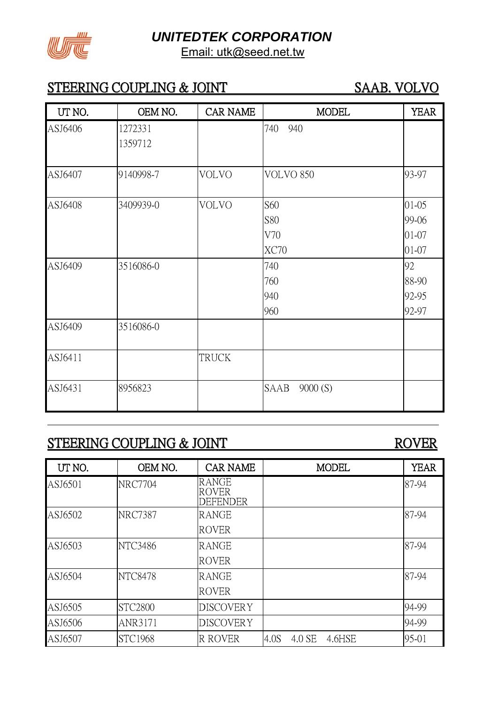

# STEERING COUPLING & JOINT SAAB. VOLVO

| UT NO.  | OEM NO.   | <b>CAR NAME</b> | <b>MODEL</b>    | <b>YEAR</b> |
|---------|-----------|-----------------|-----------------|-------------|
| ASJ6406 | 1272331   |                 | 740<br>940      |             |
|         | 1359712   |                 |                 |             |
|         |           |                 |                 |             |
| ASJ6407 | 9140998-7 | VOLVO           | VOLVO 850       | 93-97       |
|         |           |                 |                 |             |
| ASJ6408 | 3409939-0 | VOLVO           | S60             | $01 - 05$   |
|         |           |                 | <b>S80</b>      | 99-06       |
|         |           |                 | V70             | 01-07       |
|         |           |                 | XC70            | $01 - 07$   |
| ASJ6409 | 3516086-0 |                 | 740             | 92          |
|         |           |                 | 760             | 88-90       |
|         |           |                 | 940             | 92-95       |
|         |           |                 | 960             | 92-97       |
| ASJ6409 | 3516086-0 |                 |                 |             |
|         |           |                 |                 |             |
| ASJ6411 |           | <b>TRUCK</b>    |                 |             |
|         |           |                 |                 |             |
| ASJ6431 | 8956823   |                 | SAAB<br>9000(S) |             |
|         |           |                 |                 |             |

### STEERING COUPLING & JOINT ROVER

| UT NO.  | OEM NO.        | <b>CAR NAME</b>                                 |      |        | <b>MODEL</b> | <b>YEAR</b> |
|---------|----------------|-------------------------------------------------|------|--------|--------------|-------------|
| ASJ6501 | <b>NRC7704</b> | <b>RANGE</b><br><b>ROVER</b><br><b>DEFENDER</b> |      |        |              | 87-94       |
| ASJ6502 | <b>NRC7387</b> | <b>RANGE</b>                                    |      |        |              | 87-94       |
|         |                | <b>ROVER</b>                                    |      |        |              |             |
| ASJ6503 | NTC3486        | <b>RANGE</b>                                    |      |        |              | 87-94       |
|         |                | <b>ROVER</b>                                    |      |        |              |             |
| ASJ6504 | <b>NTC8478</b> | <b>RANGE</b>                                    |      |        |              | 87-94       |
|         |                | <b>ROVER</b>                                    |      |        |              |             |
| ASJ6505 | <b>STC2800</b> | <b>DISCOVERY</b>                                |      |        |              | 94-99       |
| ASJ6506 | ANR3171        | <b>DISCOVERY</b>                                |      |        |              | 94-99       |
| ASJ6507 | <b>STC1968</b> | <b>R ROVER</b>                                  | 4.0S | 4.0 SE | 4.6HSE       | 95-01       |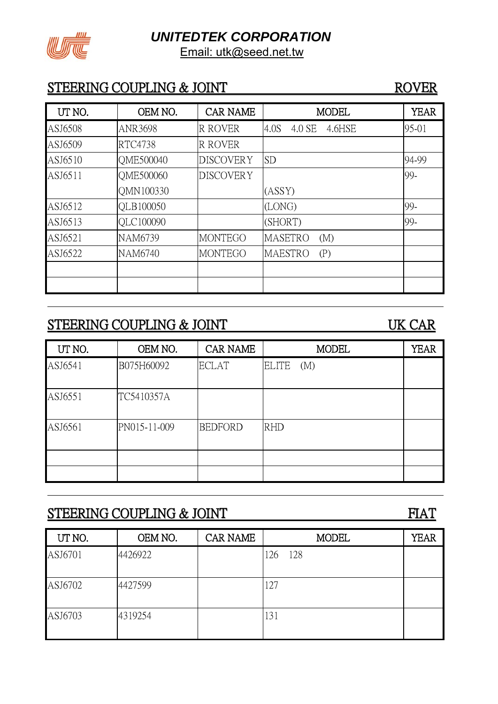

### STEERING COUPLING & JOINT ROVER

### UT NO. CEM NO. CAR NAME NODEL YEAR ASJ6508 | ANR3698 | R ROVER | 4.0S 4.0 SE 4.6HSE | 95-01 ASJ6509 RTC4738 R ROVER ASJ6510 |QME500040 |DISCOVERY |SD |94-99 ASJ6511 QME500060 QMN100330 DISCOVERY (ASSY) 99- ASJ6512 QLB100050 (LONG) 99- ASJ6513 |QLC100090 | (SHORT) | 99-ASJ6521 NAM6739 MONTEGO MASETRO (M) ASJ6522 NAM6740 MONTEGO MAESTRO (P)

### STEERING COUPLING & JOINT UK CAR

| UT NO.  | OEM NO.      | <b>CAR NAME</b> | <b>MODEL</b>        | <b>YEAR</b> |
|---------|--------------|-----------------|---------------------|-------------|
| ASJ6541 | B075H60092   | <b>ECLAT</b>    | <b>ELITE</b><br>(M) |             |
| ASJ6551 | TC5410357A   |                 |                     |             |
| ASJ6561 | PN015-11-009 | <b>BEDFORD</b>  | <b>RHD</b>          |             |
|         |              |                 |                     |             |
|         |              |                 |                     |             |

### STEERING COUPLING & JOINT FIAT

UT NO.  $\vert$  OEM NO.  $\vert$  CAR NAME  $\vert$  MODEL YEAR ASI6701 4426922 126 128 ASJ6702 4427599 127 ASJ6703 4319254 131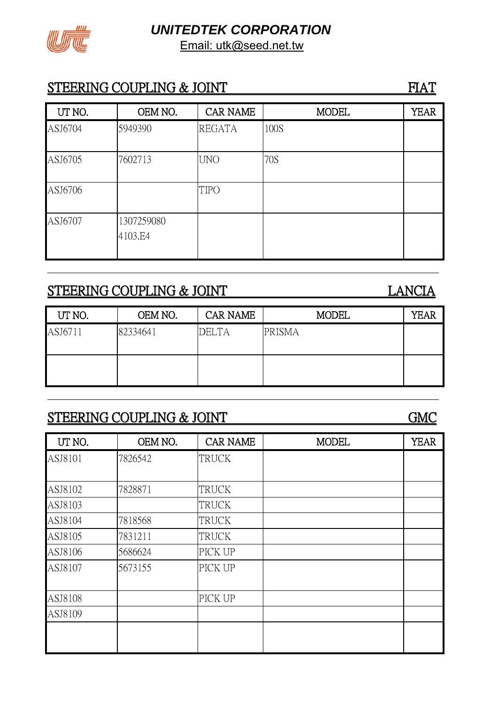

### STEERING COUPLING & JOINT FIAT

| UT NO.  | OEM NO.               | <b>CAR NAME</b> | <b>MODEL</b> | <b>YEAR</b> |
|---------|-----------------------|-----------------|--------------|-------------|
| ASJ6704 | 5949390               | <b>REGATA</b>   | 100S         |             |
| ASJ6705 | 7602713               | <b>UNO</b>      | 70S          |             |
| ASJ6706 |                       | <b>TIPO</b>     |              |             |
| ASJ6707 | 1307259080<br>4103.E4 |                 |              |             |

# STEERING COUPLING & JOINT LANCIA

| UT NO.  | OEM NO.  | <b>CAR NAME</b> | <b>MODEL</b>  | YEAR |
|---------|----------|-----------------|---------------|------|
| ASJ6711 | 82334641 | <b>DELTA</b>    | <b>PRISMA</b> |      |
|         |          |                 |               |      |

# STEERING COUPLING & JOINT GMC

| UT NO.  | OEM NO. | <b>CAR NAME</b> | <b>MODEL</b> | <b>YEAR</b> |
|---------|---------|-----------------|--------------|-------------|
| ASJ8101 | 7826542 | <b>TRUCK</b>    |              |             |
| ASJ8102 | 7828871 | <b>TRUCK</b>    |              |             |
| ASJ8103 |         | <b>TRUCK</b>    |              |             |
| ASJ8104 | 7818568 | <b>TRUCK</b>    |              |             |
| ASJ8105 | 7831211 | <b>TRUCK</b>    |              |             |
| ASJ8106 | 5686624 | PICK UP         |              |             |
| ASJ8107 | 5673155 | PICK UP         |              |             |
| ASJ8108 |         | PICK UP         |              |             |
| ASJ8109 |         |                 |              |             |
|         |         |                 |              |             |
|         |         |                 |              |             |